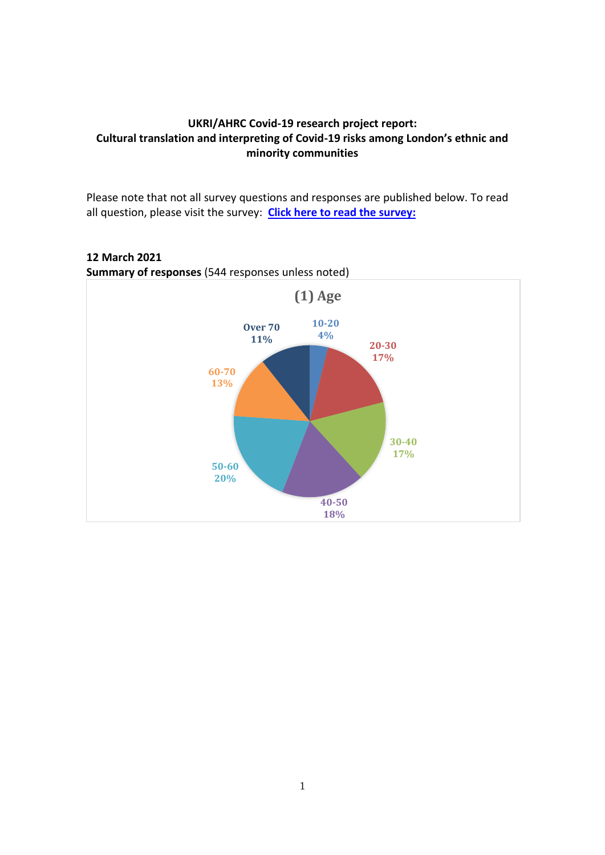## **UKRI/AHRC Covid-19 research project report: Cultural translation and interpreting of Covid-19 risks among London's ethnic and minority communities**

Please note that not all survey questions and responses are published below. To read all question, please visit the survey: **Click here to read the survey:** 

# **Summary of responses** (544 responses unless noted) **10-20 4% 20-30 17% 30-40 17% 40-50 18% 50-60 20% 60-70 13% Over 70 11% (1) Age**

**12 March 2021**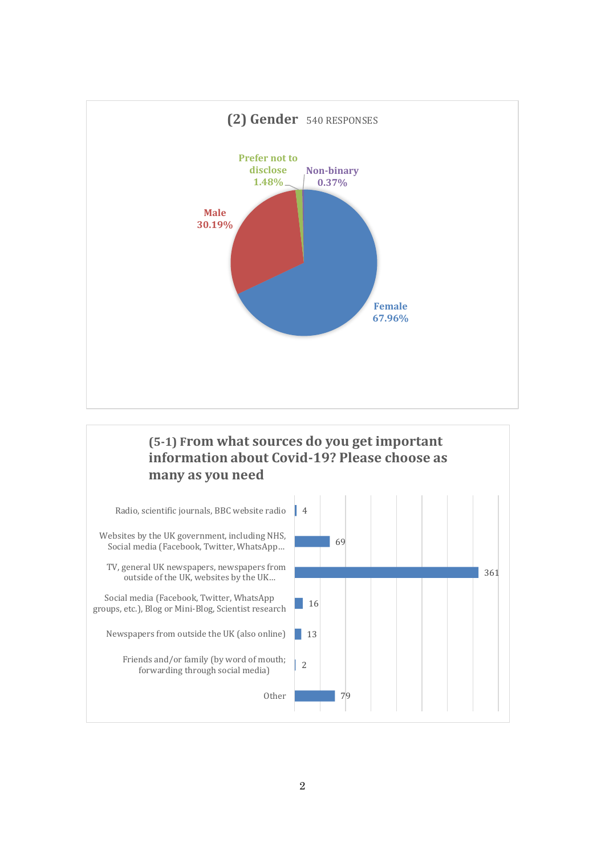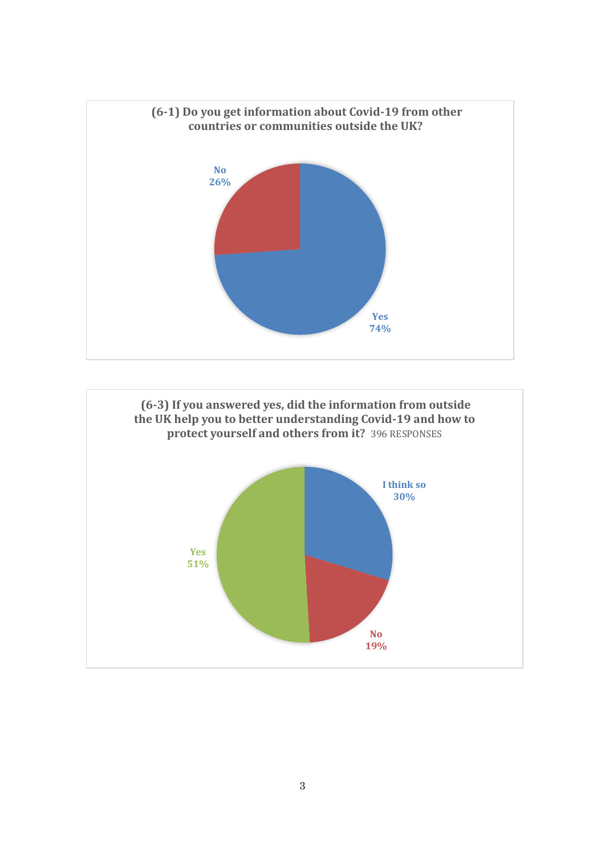

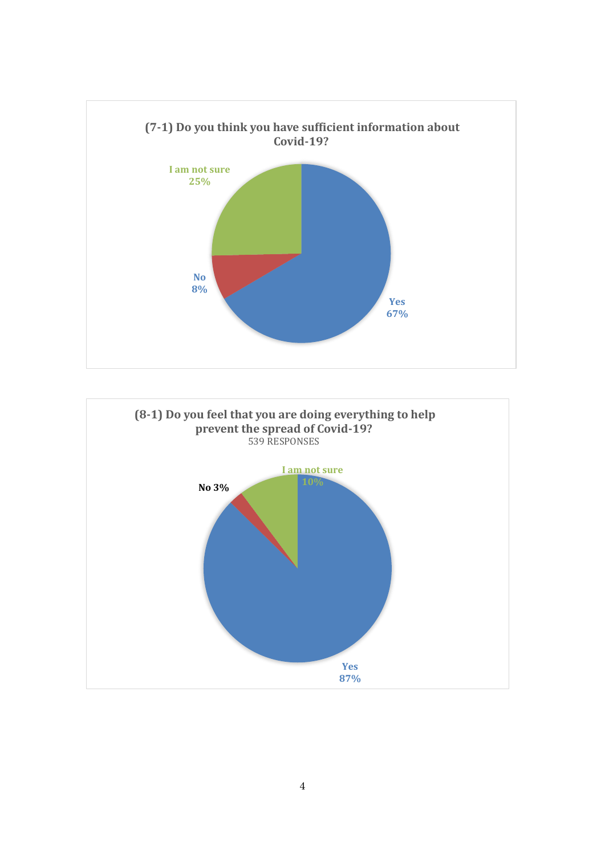

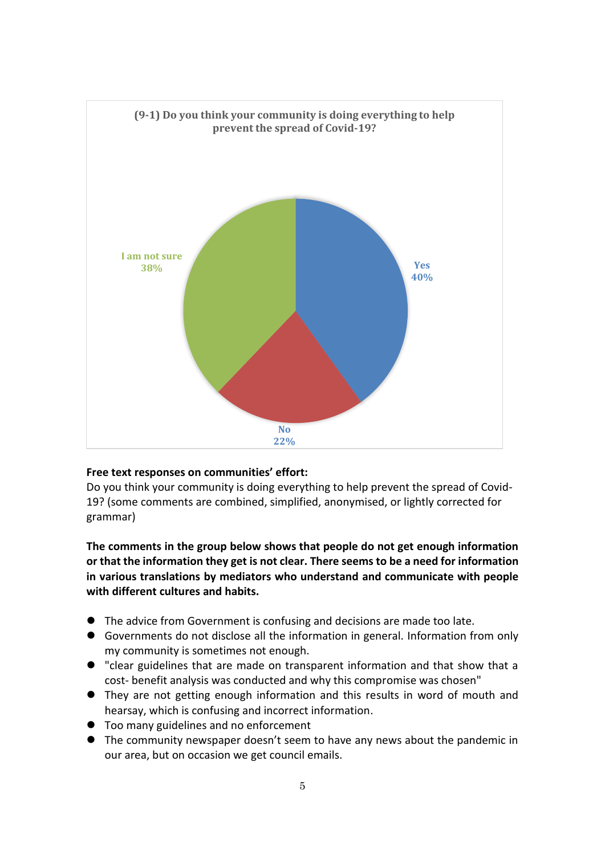

#### **Free text responses on communities' effort:**

Do you think your community is doing everything to help prevent the spread of Covid-19? (some comments are combined, simplified, anonymised, or lightly corrected for grammar)

**The comments in the group below shows that people do not get enough information or that the information they get is not clear. There seems to be a need for information in various translations by mediators who understand and communicate with people with different cultures and habits.** 

- The advice from Government is confusing and decisions are made too late.
- ⚫ Governments do not disclose all the information in general. Information from only my community is sometimes not enough.
- ⚫ "clear guidelines that are made on transparent information and that show that a cost- benefit analysis was conducted and why this compromise was chosen"
- They are not getting enough information and this results in word of mouth and hearsay, which is confusing and incorrect information.
- Too many guidelines and no enforcement
- ⚫ The community newspaper doesn't seem to have any news about the pandemic in our area, but on occasion we get council emails.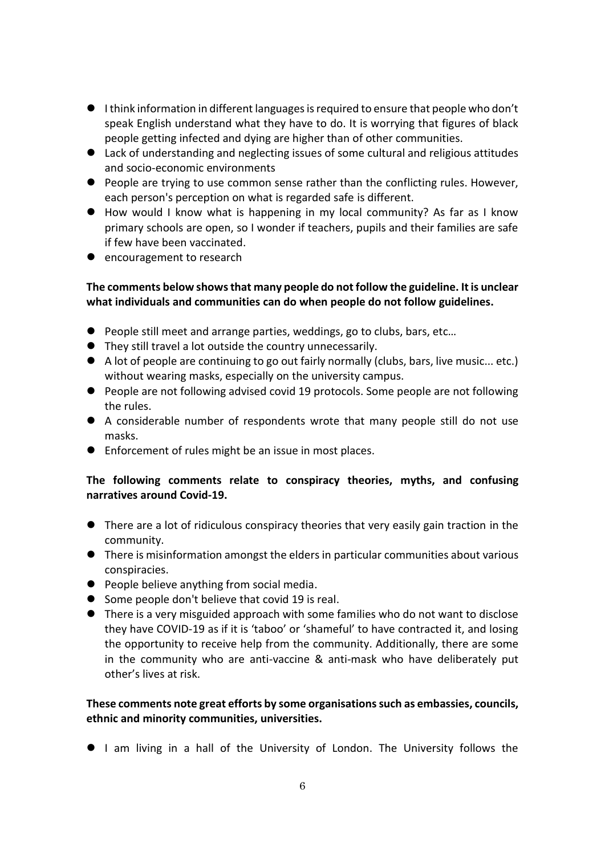- ⚫ I think information in different languages is required to ensure that people who don't speak English understand what they have to do. It is worrying that figures of black people getting infected and dying are higher than of other communities.
- Lack of understanding and neglecting issues of some cultural and religious attitudes and socio-economic environments
- People are trying to use common sense rather than the conflicting rules. However, each person's perception on what is regarded safe is different.
- How would I know what is happening in my local community? As far as I know primary schools are open, so I wonder if teachers, pupils and their families are safe if few have been vaccinated.
- encouragement to research

## **The comments below showsthat many people do not follow the guideline. It is unclear what individuals and communities can do when people do not follow guidelines.**

- People still meet and arrange parties, weddings, go to clubs, bars, etc...
- ⚫ They still travel a lot outside the country unnecessarily.
- A lot of people are continuing to go out fairly normally (clubs, bars, live music... etc.) without wearing masks, especially on the university campus.
- People are not following advised covid 19 protocols. Some people are not following the rules.
- ⚫ A considerable number of respondents wrote that many people still do not use masks.
- Enforcement of rules might be an issue in most places.

### **The following comments relate to conspiracy theories, myths, and confusing narratives around Covid-19.**

- There are a lot of ridiculous conspiracy theories that very easily gain traction in the community.
- ⚫ There is misinformation amongst the elders in particular communities about various conspiracies.
- People believe anything from social media.
- Some people don't believe that covid 19 is real.
- There is a very misguided approach with some families who do not want to disclose they have COVID-19 as if it is 'taboo' or 'shameful' to have contracted it, and losing the opportunity to receive help from the community. Additionally, there are some in the community who are anti-vaccine & anti-mask who have deliberately put other's lives at risk.

### **These comments note great efforts by some organisationssuch as embassies, councils, ethnic and minority communities, universities.**

● I am living in a hall of the University of London. The University follows the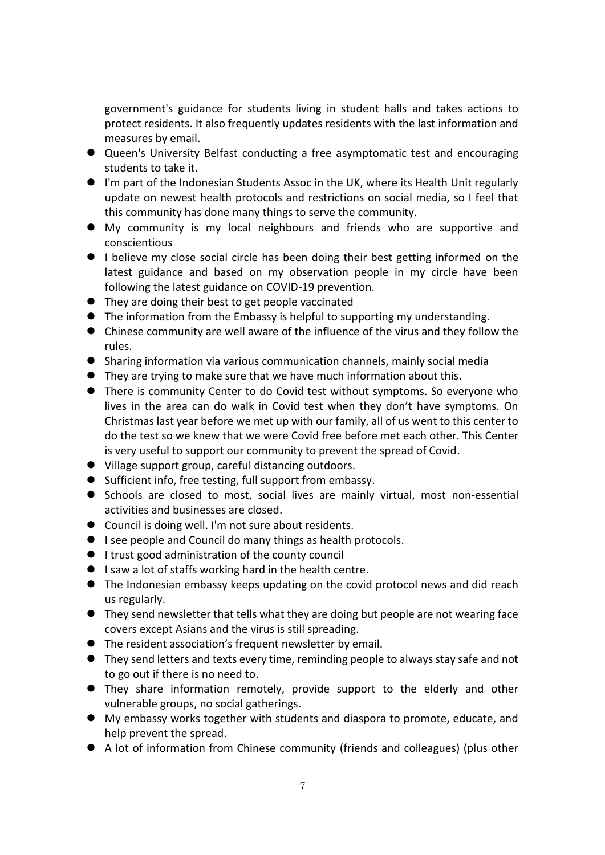government's guidance for students living in student halls and takes actions to protect residents. It also frequently updates residents with the last information and measures by email.

- Queen's University Belfast conducting a free asymptomatic test and encouraging students to take it.
- I'm part of the Indonesian Students Assoc in the UK, where its Health Unit regularly update on newest health protocols and restrictions on social media, so I feel that this community has done many things to serve the community.
- ⚫ My community is my local neighbours and friends who are supportive and conscientious
- I believe my close social circle has been doing their best getting informed on the latest guidance and based on my observation people in my circle have been following the latest guidance on COVID-19 prevention.
- They are doing their best to get people vaccinated
- The information from the Embassy is helpful to supporting my understanding.
- ⚫ Chinese community are well aware of the influence of the virus and they follow the rules.
- ⚫ Sharing information via various communication channels, mainly social media
- ⚫ They are trying to make sure that we have much information about this.
- There is community Center to do Covid test without symptoms. So everyone who lives in the area can do walk in Covid test when they don't have symptoms. On Christmas last year before we met up with our family, all of us went to this center to do the test so we knew that we were Covid free before met each other. This Center is very useful to support our community to prevent the spread of Covid.
- Village support group, careful distancing outdoors.
- Sufficient info, free testing, full support from embassy.
- ⚫ Schools are closed to most, social lives are mainly virtual, most non-essential activities and businesses are closed.
- Council is doing well. I'm not sure about residents.
- I see people and Council do many things as health protocols.
- I trust good administration of the county council
- I saw a lot of staffs working hard in the health centre.
- ⚫ The Indonesian embassy keeps updating on the covid protocol news and did reach us regularly.
- They send newsletter that tells what they are doing but people are not wearing face covers except Asians and the virus is still spreading.
- ⚫ The resident association's frequent newsletter by email.
- They send letters and texts every time, reminding people to always stay safe and not to go out if there is no need to.
- ⚫ They share information remotely, provide support to the elderly and other vulnerable groups, no social gatherings.
- ⚫ My embassy works together with students and diaspora to promote, educate, and help prevent the spread.
- A lot of information from Chinese community (friends and colleagues) (plus other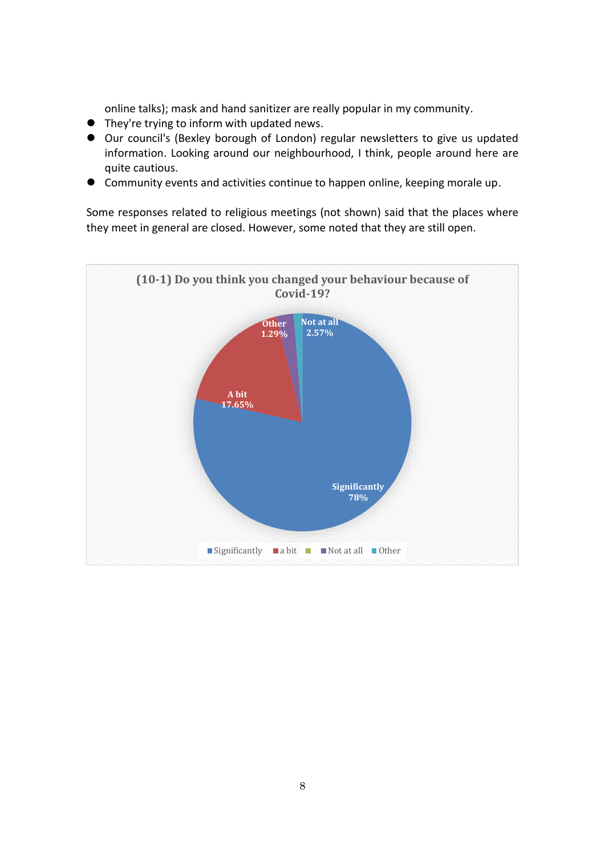online talks); mask and hand sanitizer are really popular in my community.

- They're trying to inform with updated news.
- Our council's (Bexley borough of London) regular newsletters to give us updated information. Looking around our neighbourhood, I think, people around here are quite cautious.
- Community events and activities continue to happen online, keeping morale up.

Some responses related to religious meetings (not shown) said that the places where they meet in general are closed. However, some noted that they are still open.

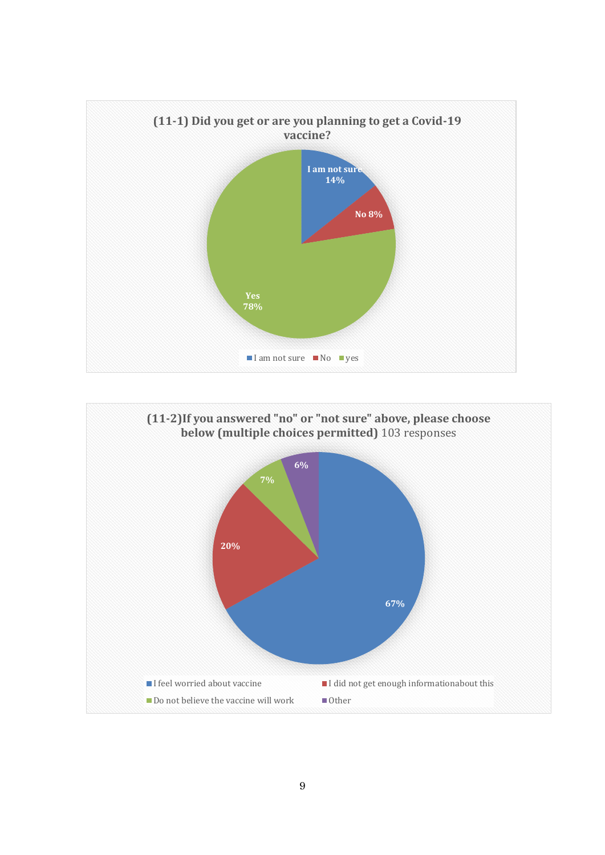

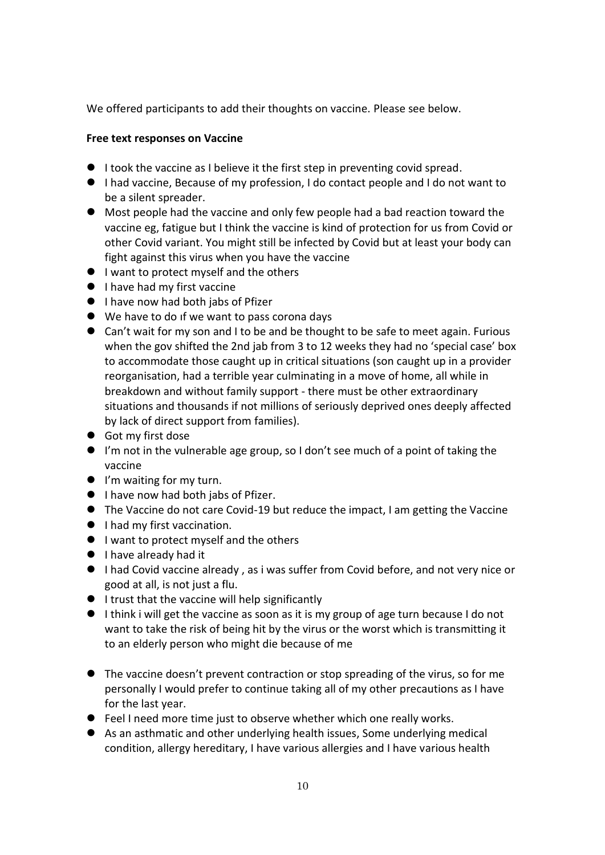We offered participants to add their thoughts on vaccine. Please see below.

#### **Free text responses on Vaccine**

- I took the vaccine as I believe it the first step in preventing covid spread.
- I had vaccine, Because of my profession, I do contact people and I do not want to be a silent spreader.
- Most people had the vaccine and only few people had a bad reaction toward the vaccine eg, fatigue but I think the vaccine is kind of protection for us from Covid or other Covid variant. You might still be infected by Covid but at least your body can fight against this virus when you have the vaccine
- I want to protect myself and the others
- I have had my first vaccine
- I have now had both jabs of Pfizer
- We have to do if we want to pass corona days
- Can't wait for my son and I to be and be thought to be safe to meet again. Furious when the gov shifted the 2nd jab from 3 to 12 weeks they had no 'special case' box to accommodate those caught up in critical situations (son caught up in a provider reorganisation, had a terrible year culminating in a move of home, all while in breakdown and without family support - there must be other extraordinary situations and thousands if not millions of seriously deprived ones deeply affected by lack of direct support from families).
- Got my first dose
- I'm not in the vulnerable age group, so I don't see much of a point of taking the vaccine
- I'm waiting for my turn.
- I have now had both jabs of Pfizer.
- The Vaccine do not care Covid-19 but reduce the impact, I am getting the Vaccine
- I had my first vaccination.
- I want to protect myself and the others
- I have already had it
- I had Covid vaccine already, as i was suffer from Covid before, and not very nice or good at all, is not just a flu.
- I trust that the vaccine will help significantly
- I think i will get the vaccine as soon as it is my group of age turn because I do not want to take the risk of being hit by the virus or the worst which is transmitting it to an elderly person who might die because of me
- The vaccine doesn't prevent contraction or stop spreading of the virus, so for me personally I would prefer to continue taking all of my other precautions as I have for the last year.
- Feel I need more time just to observe whether which one really works.
- As an asthmatic and other underlying health issues, Some underlying medical condition, allergy hereditary, I have various allergies and I have various health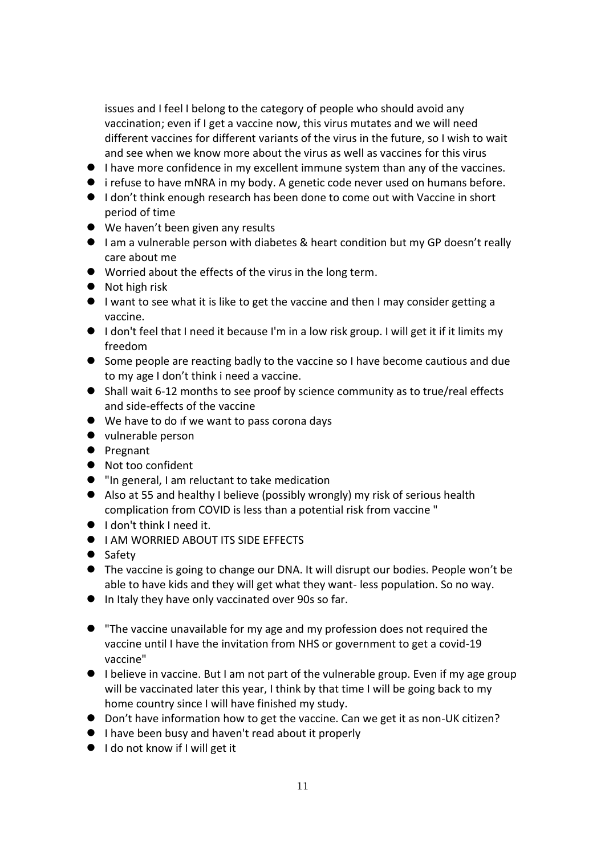issues and I feel I belong to the category of people who should avoid any vaccination; even if I get a vaccine now, this virus mutates and we will need different vaccines for different variants of the virus in the future, so I wish to wait and see when we know more about the virus as well as vaccines for this virus

- I have more confidence in my excellent immune system than any of the vaccines.
- i refuse to have mNRA in my body. A genetic code never used on humans before.
- I don't think enough research has been done to come out with Vaccine in short period of time
- We haven't been given any results
- I am a vulnerable person with diabetes & heart condition but my GP doesn't really care about me
- ⚫ Worried about the effects of the virus in the long term.
- Not high risk
- I want to see what it is like to get the vaccine and then I may consider getting a vaccine.
- I don't feel that I need it because I'm in a low risk group. I will get it if it limits my freedom
- ⚫ Some people are reacting badly to the vaccine so I have become cautious and due to my age I don't think i need a vaccine.
- Shall wait 6-12 months to see proof by science community as to true/real effects and side-effects of the vaccine
- We have to do if we want to pass corona days
- ⚫ vulnerable person
- ⚫ Pregnant
- Not too confident
- "In general, I am reluctant to take medication
- Also at 55 and healthy I believe (possibly wrongly) my risk of serious health complication from COVID is less than a potential risk from vaccine "
- I don't think I need it.
- I AM WORRIED ABOUT ITS SIDE EFFECTS
- Safety
- The vaccine is going to change our DNA. It will disrupt our bodies. People won't be able to have kids and they will get what they want- less population. So no way.
- ⚫ In Italy they have only vaccinated over 90s so far.
- ⚫ "The vaccine unavailable for my age and my profession does not required the vaccine until I have the invitation from NHS or government to get a covid-19 vaccine"
- I believe in vaccine. But I am not part of the vulnerable group. Even if my age group will be vaccinated later this year, I think by that time I will be going back to my home country since I will have finished my study.
- Don't have information how to get the vaccine. Can we get it as non-UK citizen?
- I have been busy and haven't read about it properly
- I do not know if I will get it